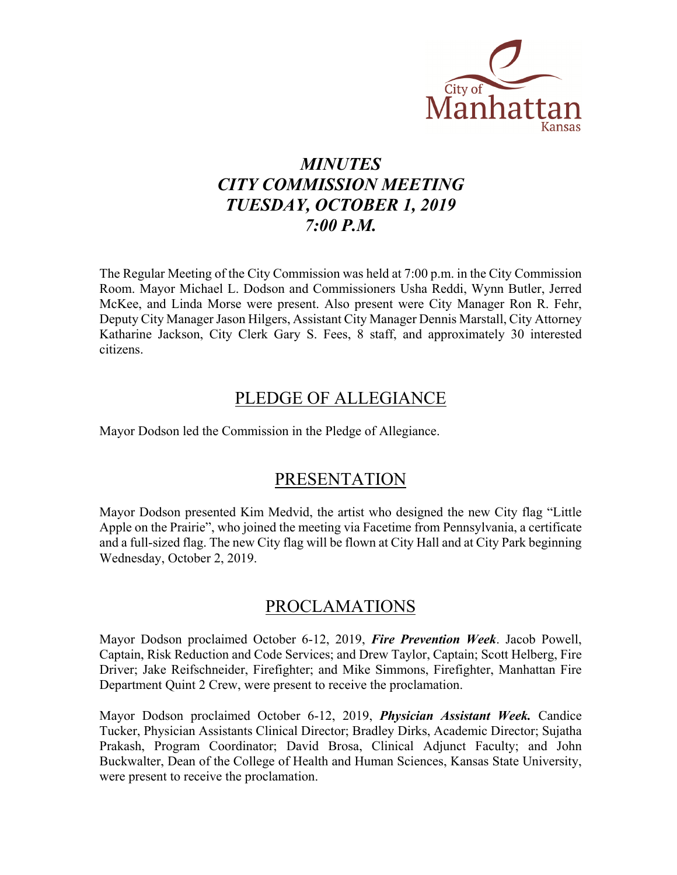

# *MINUTES CITY COMMISSION MEETING TUESDAY, OCTOBER 1, 2019 7:00 P.M.*

The Regular Meeting of the City Commission was held at 7:00 p.m. in the City Commission Room. Mayor Michael L. Dodson and Commissioners Usha Reddi, Wynn Butler, Jerred McKee, and Linda Morse were present. Also present were City Manager Ron R. Fehr, Deputy City Manager Jason Hilgers, Assistant City Manager Dennis Marstall, City Attorney Katharine Jackson, City Clerk Gary S. Fees, 8 staff, and approximately 30 interested citizens.

### PLEDGE OF ALLEGIANCE

Mayor Dodson led the Commission in the Pledge of Allegiance.

### PRESENTATION

Mayor Dodson presented Kim Medvid, the artist who designed the new City flag "Little Apple on the Prairie", who joined the meeting via Facetime from Pennsylvania, a certificate and a full-sized flag. The new City flag will be flown at City Hall and at City Park beginning Wednesday, October 2, 2019.

### PROCLAMATIONS

Mayor Dodson proclaimed October 6-12, 2019, *Fire Prevention Week*. Jacob Powell, Captain, Risk Reduction and Code Services; and Drew Taylor, Captain; Scott Helberg, Fire Driver; Jake Reifschneider, Firefighter; and Mike Simmons, Firefighter, Manhattan Fire Department Quint 2 Crew, were present to receive the proclamation.

Mayor Dodson proclaimed October 6-12, 2019, *Physician Assistant Week.* Candice Tucker, Physician Assistants Clinical Director; Bradley Dirks, Academic Director; Sujatha Prakash, Program Coordinator; David Brosa, Clinical Adjunct Faculty; and John Buckwalter, Dean of the College of Health and Human Sciences, Kansas State University, were present to receive the proclamation.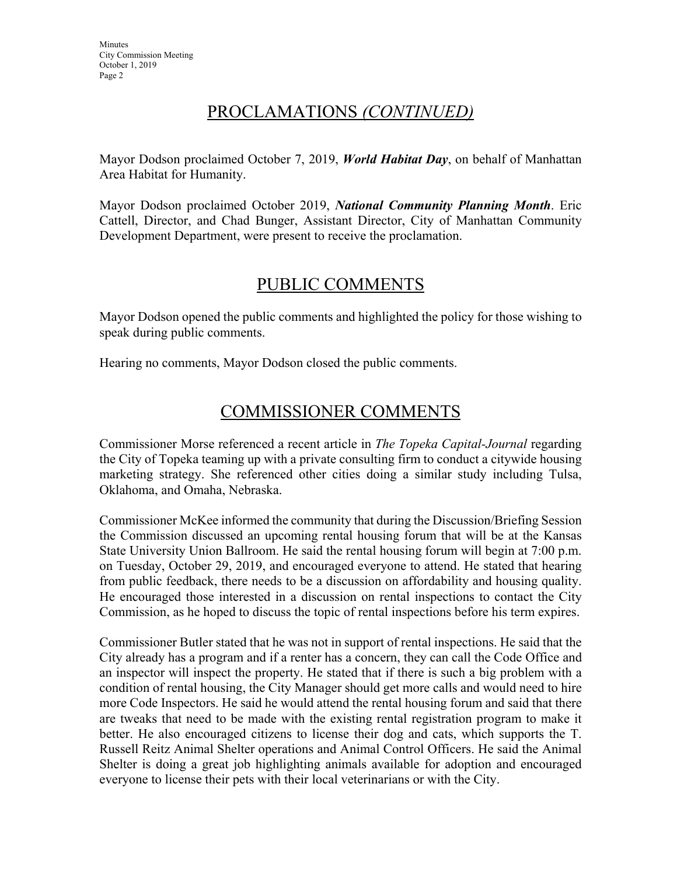# PROCLAMATIONS *(CONTINUED)*

Mayor Dodson proclaimed October 7, 2019, *World Habitat Day*, on behalf of Manhattan Area Habitat for Humanity.

Mayor Dodson proclaimed October 2019, *National Community Planning Month*. Eric Cattell, Director, and Chad Bunger, Assistant Director, City of Manhattan Community Development Department, were present to receive the proclamation.

# PUBLIC COMMENTS

Mayor Dodson opened the public comments and highlighted the policy for those wishing to speak during public comments.

Hearing no comments, Mayor Dodson closed the public comments.

# COMMISSIONER COMMENTS

Commissioner Morse referenced a recent article in *The Topeka Capital-Journal* regarding the City of Topeka teaming up with a private consulting firm to conduct a citywide housing marketing strategy. She referenced other cities doing a similar study including Tulsa, Oklahoma, and Omaha, Nebraska.

Commissioner McKee informed the community that during the Discussion/Briefing Session the Commission discussed an upcoming rental housing forum that will be at the Kansas State University Union Ballroom. He said the rental housing forum will begin at 7:00 p.m. on Tuesday, October 29, 2019, and encouraged everyone to attend. He stated that hearing from public feedback, there needs to be a discussion on affordability and housing quality. He encouraged those interested in a discussion on rental inspections to contact the City Commission, as he hoped to discuss the topic of rental inspections before his term expires.

Commissioner Butler stated that he was not in support of rental inspections. He said that the City already has a program and if a renter has a concern, they can call the Code Office and an inspector will inspect the property. He stated that if there is such a big problem with a condition of rental housing, the City Manager should get more calls and would need to hire more Code Inspectors. He said he would attend the rental housing forum and said that there are tweaks that need to be made with the existing rental registration program to make it better. He also encouraged citizens to license their dog and cats, which supports the T. Russell Reitz Animal Shelter operations and Animal Control Officers. He said the Animal Shelter is doing a great job highlighting animals available for adoption and encouraged everyone to license their pets with their local veterinarians or with the City.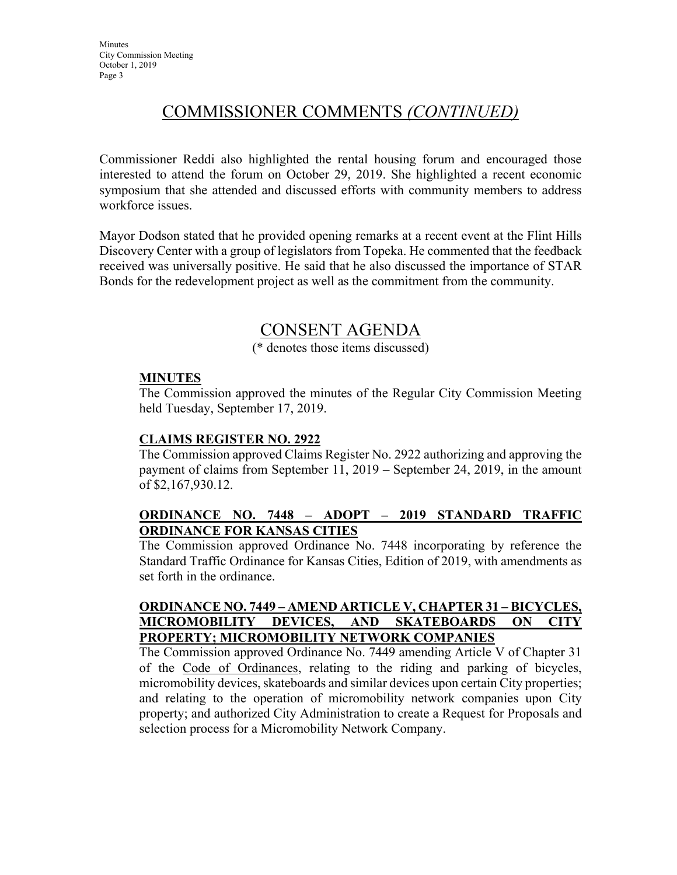# COMMISSIONER COMMENTS *(CONTINUED)*

Commissioner Reddi also highlighted the rental housing forum and encouraged those interested to attend the forum on October 29, 2019. She highlighted a recent economic symposium that she attended and discussed efforts with community members to address workforce issues.

Mayor Dodson stated that he provided opening remarks at a recent event at the Flint Hills Discovery Center with a group of legislators from Topeka. He commented that the feedback received was universally positive. He said that he also discussed the importance of STAR Bonds for the redevelopment project as well as the commitment from the community.

### CONSENT AGENDA

(\* denotes those items discussed)

#### **MINUTES**

The Commission approved the minutes of the Regular City Commission Meeting held Tuesday, September 17, 2019.

#### **CLAIMS REGISTER NO. 2922**

The Commission approved Claims Register No. 2922 authorizing and approving the payment of claims from September 11, 2019 – September 24, 2019, in the amount of \$2,167,930.12.

#### **ORDINANCE NO. 7448 – ADOPT – 2019 STANDARD TRAFFIC ORDINANCE FOR KANSAS CITIES**

The Commission approved Ordinance No. 7448 incorporating by reference the Standard Traffic Ordinance for Kansas Cities, Edition of 2019, with amendments as set forth in the ordinance.

#### **ORDINANCE NO. 7449 – AMEND ARTICLE V, CHAPTER 31 – BICYCLES, MICROMOBILITY DEVICES, AND SKATEBOARDS ON CITY PROPERTY; MICROMOBILITY NETWORK COMPANIES**

The Commission approved Ordinance No. 7449 amending Article V of Chapter 31 of the Code of Ordinances, relating to the riding and parking of bicycles, micromobility devices, skateboards and similar devices upon certain City properties; and relating to the operation of micromobility network companies upon City property; and authorized City Administration to create a Request for Proposals and selection process for a Micromobility Network Company.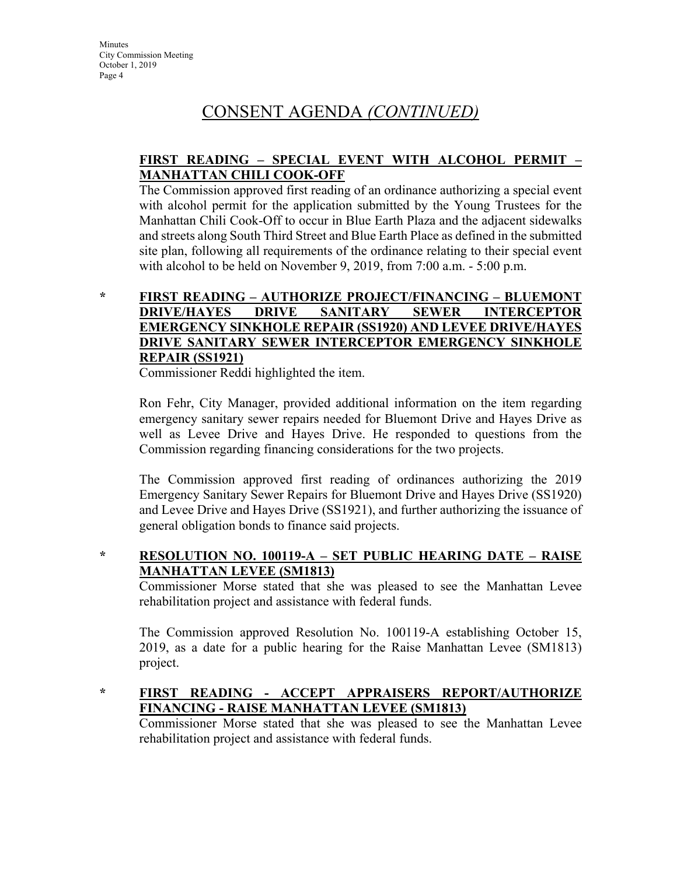# CONSENT AGENDA *(CONTINUED)*

### **FIRST READING – SPECIAL EVENT WITH ALCOHOL PERMIT – MANHATTAN CHILI COOK-OFF**

The Commission approved first reading of an ordinance authorizing a special event with alcohol permit for the application submitted by the Young Trustees for the Manhattan Chili Cook-Off to occur in Blue Earth Plaza and the adjacent sidewalks and streets along South Third Street and Blue Earth Place as defined in the submitted site plan, following all requirements of the ordinance relating to their special event with alcohol to be held on November 9, 2019, from 7:00 a.m. - 5:00 p.m.

### **\* FIRST READING – AUTHORIZE PROJECT/FINANCING – BLUEMONT DRIVE/HAYES DRIVE SANITARY SEWER INTERCEPTOR EMERGENCY SINKHOLE REPAIR (SS1920) AND LEVEE DRIVE/HAYES DRIVE SANITARY SEWER INTERCEPTOR EMERGENCY SINKHOLE REPAIR (SS1921)**

Commissioner Reddi highlighted the item.

Ron Fehr, City Manager, provided additional information on the item regarding emergency sanitary sewer repairs needed for Bluemont Drive and Hayes Drive as well as Levee Drive and Hayes Drive. He responded to questions from the Commission regarding financing considerations for the two projects.

The Commission approved first reading of ordinances authorizing the 2019 Emergency Sanitary Sewer Repairs for Bluemont Drive and Hayes Drive (SS1920) and Levee Drive and Hayes Drive (SS1921), and further authorizing the issuance of general obligation bonds to finance said projects.

### **\* RESOLUTION NO. 100119-A – SET PUBLIC HEARING DATE – RAISE MANHATTAN LEVEE (SM1813)**

Commissioner Morse stated that she was pleased to see the Manhattan Levee rehabilitation project and assistance with federal funds.

The Commission approved Resolution No. 100119-A establishing October 15, 2019, as a date for a public hearing for the Raise Manhattan Levee (SM1813) project.

#### **\* FIRST READING - ACCEPT APPRAISERS REPORT/AUTHORIZE FINANCING - RAISE MANHATTAN LEVEE (SM1813)**

Commissioner Morse stated that she was pleased to see the Manhattan Levee rehabilitation project and assistance with federal funds.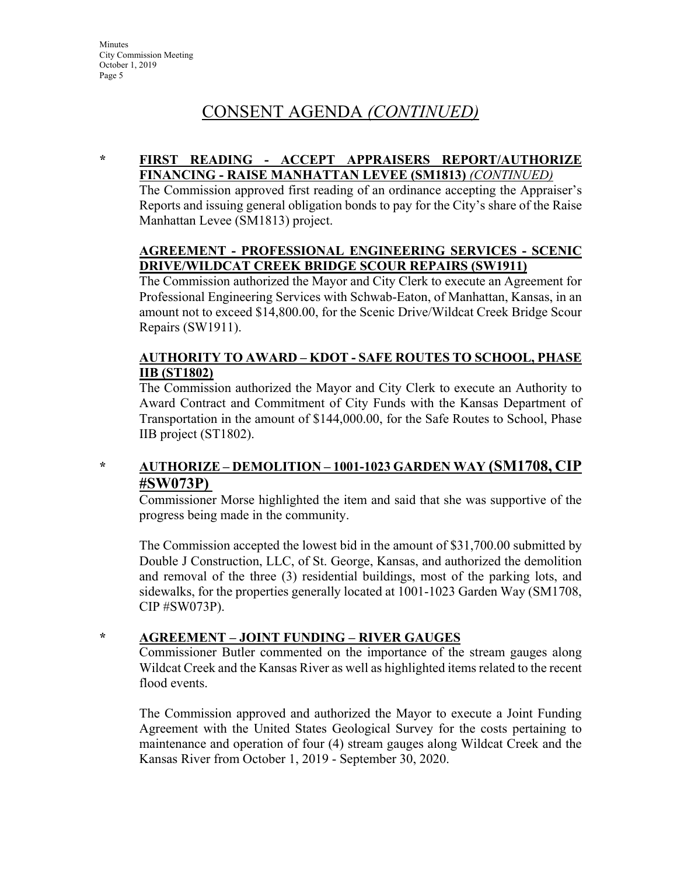# CONSENT AGENDA *(CONTINUED)*

#### **\* FIRST READING - ACCEPT APPRAISERS REPORT/AUTHORIZE FINANCING - RAISE MANHATTAN LEVEE (SM1813)** *(CONTINUED)*

The Commission approved first reading of an ordinance accepting the Appraiser's Reports and issuing general obligation bonds to pay for the City's share of the Raise Manhattan Levee (SM1813) project.

#### **AGREEMENT - PROFESSIONAL ENGINEERING SERVICES - SCENIC DRIVE/WILDCAT CREEK BRIDGE SCOUR REPAIRS (SW1911)**

The Commission authorized the Mayor and City Clerk to execute an Agreement for Professional Engineering Services with Schwab-Eaton, of Manhattan, Kansas, in an amount not to exceed \$14,800.00, for the Scenic Drive/Wildcat Creek Bridge Scour Repairs (SW1911).

### **AUTHORITY TO AWARD – KDOT - SAFE ROUTES TO SCHOOL, PHASE IIB (ST1802)**

The Commission authorized the Mayor and City Clerk to execute an Authority to Award Contract and Commitment of City Funds with the Kansas Department of Transportation in the amount of \$144,000.00, for the Safe Routes to School, Phase IIB project (ST1802).

### **\* AUTHORIZE – DEMOLITION – 1001-1023 GARDEN WAY (SM1708, CIP #SW073P)**

Commissioner Morse highlighted the item and said that she was supportive of the progress being made in the community.

The Commission accepted the lowest bid in the amount of \$31,700.00 submitted by Double J Construction, LLC, of St. George, Kansas, and authorized the demolition and removal of the three (3) residential buildings, most of the parking lots, and sidewalks, for the properties generally located at 1001-1023 Garden Way (SM1708, CIP #SW073P).

### **\* AGREEMENT – JOINT FUNDING – RIVER GAUGES**

Commissioner Butler commented on the importance of the stream gauges along Wildcat Creek and the Kansas River as well as highlighted items related to the recent flood events.

The Commission approved and authorized the Mayor to execute a Joint Funding Agreement with the United States Geological Survey for the costs pertaining to maintenance and operation of four (4) stream gauges along Wildcat Creek and the Kansas River from October 1, 2019 - September 30, 2020.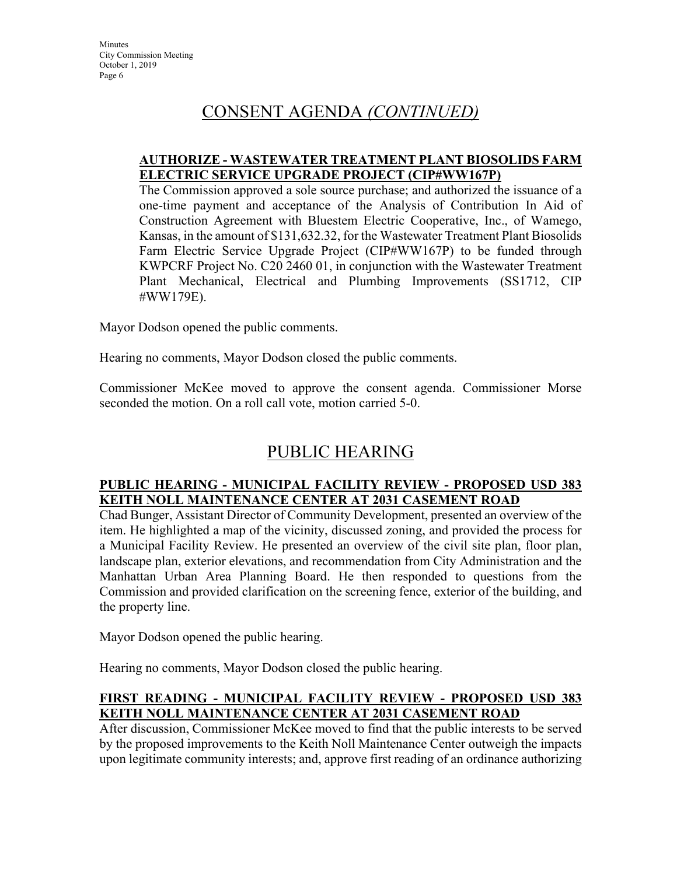# CONSENT AGENDA *(CONTINUED)*

#### **AUTHORIZE - WASTEWATER TREATMENT PLANT BIOSOLIDS FARM ELECTRIC SERVICE UPGRADE PROJECT (CIP#WW167P)**

The Commission approved a sole source purchase; and authorized the issuance of a one-time payment and acceptance of the Analysis of Contribution In Aid of Construction Agreement with Bluestem Electric Cooperative, Inc., of Wamego, Kansas, in the amount of \$131,632.32, for the Wastewater Treatment Plant Biosolids Farm Electric Service Upgrade Project (CIP#WW167P) to be funded through KWPCRF Project No. C20 2460 01, in conjunction with the Wastewater Treatment Plant Mechanical, Electrical and Plumbing Improvements (SS1712, CIP #WW179E).

Mayor Dodson opened the public comments.

Hearing no comments, Mayor Dodson closed the public comments.

Commissioner McKee moved to approve the consent agenda. Commissioner Morse seconded the motion. On a roll call vote, motion carried 5-0.

# PUBLIC HEARING

### **PUBLIC HEARING - MUNICIPAL FACILITY REVIEW - PROPOSED USD 383 KEITH NOLL MAINTENANCE CENTER AT 2031 CASEMENT ROAD**

Chad Bunger, Assistant Director of Community Development, presented an overview of the item. He highlighted a map of the vicinity, discussed zoning, and provided the process for a Municipal Facility Review. He presented an overview of the civil site plan, floor plan, landscape plan, exterior elevations, and recommendation from City Administration and the Manhattan Urban Area Planning Board. He then responded to questions from the Commission and provided clarification on the screening fence, exterior of the building, and the property line.

Mayor Dodson opened the public hearing.

Hearing no comments, Mayor Dodson closed the public hearing.

### **FIRST READING - MUNICIPAL FACILITY REVIEW - PROPOSED USD 383 KEITH NOLL MAINTENANCE CENTER AT 2031 CASEMENT ROAD**

After discussion, Commissioner McKee moved to find that the public interests to be served by the proposed improvements to the Keith Noll Maintenance Center outweigh the impacts upon legitimate community interests; and, approve first reading of an ordinance authorizing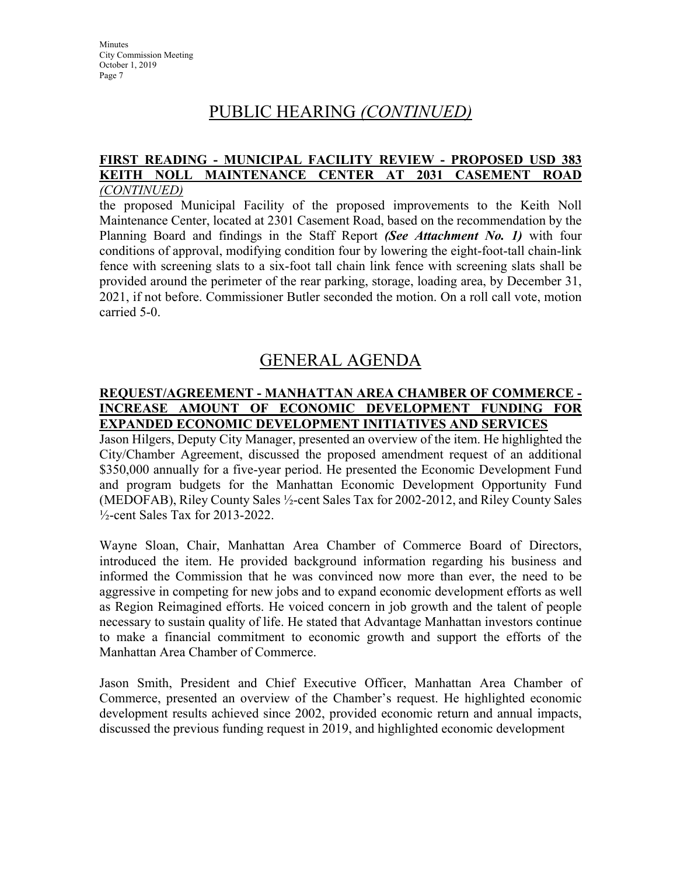### PUBLIC HEARING *(CONTINUED)*

#### **FIRST READING - MUNICIPAL FACILITY REVIEW - PROPOSED USD 383 KEITH NOLL MAINTENANCE CENTER AT 2031 CASEMENT ROAD**  *(CONTINUED)*

the proposed Municipal Facility of the proposed improvements to the Keith Noll Maintenance Center, located at 2301 Casement Road, based on the recommendation by the Planning Board and findings in the Staff Report *(See Attachment No. 1)* with four conditions of approval, modifying condition four by lowering the eight-foot-tall chain-link fence with screening slats to a six-foot tall chain link fence with screening slats shall be provided around the perimeter of the rear parking, storage, loading area, by December 31, 2021, if not before. Commissioner Butler seconded the motion. On a roll call vote, motion carried 5-0.

### GENERAL AGENDA

#### **REQUEST/AGREEMENT - MANHATTAN AREA CHAMBER OF COMMERCE - INCREASE AMOUNT OF ECONOMIC DEVELOPMENT FUNDING FOR EXPANDED ECONOMIC DEVELOPMENT INITIATIVES AND SERVICES**

Jason Hilgers, Deputy City Manager, presented an overview of the item. He highlighted the City/Chamber Agreement, discussed the proposed amendment request of an additional \$350,000 annually for a five-year period. He presented the Economic Development Fund and program budgets for the Manhattan Economic Development Opportunity Fund (MEDOFAB), Riley County Sales ½-cent Sales Tax for 2002-2012, and Riley County Sales  $\frac{1}{2}$ -cent Sales Tax for 2013-2022.

Wayne Sloan, Chair, Manhattan Area Chamber of Commerce Board of Directors, introduced the item. He provided background information regarding his business and informed the Commission that he was convinced now more than ever, the need to be aggressive in competing for new jobs and to expand economic development efforts as well as Region Reimagined efforts. He voiced concern in job growth and the talent of people necessary to sustain quality of life. He stated that Advantage Manhattan investors continue to make a financial commitment to economic growth and support the efforts of the Manhattan Area Chamber of Commerce.

Jason Smith, President and Chief Executive Officer, Manhattan Area Chamber of Commerce, presented an overview of the Chamber's request. He highlighted economic development results achieved since 2002, provided economic return and annual impacts, discussed the previous funding request in 2019, and highlighted economic development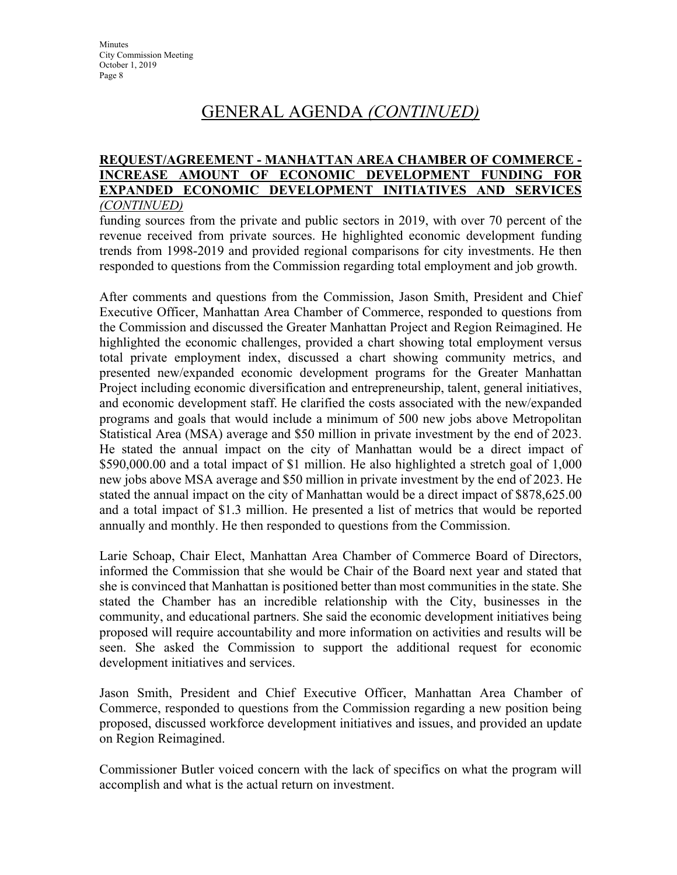#### **REQUEST/AGREEMENT - MANHATTAN AREA CHAMBER OF COMMERCE - INCREASE AMOUNT OF ECONOMIC DEVELOPMENT FUNDING FOR EXPANDED ECONOMIC DEVELOPMENT INITIATIVES AND SERVICES**  *(CONTINUED)*

funding sources from the private and public sectors in 2019, with over 70 percent of the revenue received from private sources. He highlighted economic development funding trends from 1998-2019 and provided regional comparisons for city investments. He then responded to questions from the Commission regarding total employment and job growth.

After comments and questions from the Commission, Jason Smith, President and Chief Executive Officer, Manhattan Area Chamber of Commerce, responded to questions from the Commission and discussed the Greater Manhattan Project and Region Reimagined. He highlighted the economic challenges, provided a chart showing total employment versus total private employment index, discussed a chart showing community metrics, and presented new/expanded economic development programs for the Greater Manhattan Project including economic diversification and entrepreneurship, talent, general initiatives, and economic development staff. He clarified the costs associated with the new/expanded programs and goals that would include a minimum of 500 new jobs above Metropolitan Statistical Area (MSA) average and \$50 million in private investment by the end of 2023. He stated the annual impact on the city of Manhattan would be a direct impact of \$590,000.00 and a total impact of \$1 million. He also highlighted a stretch goal of 1,000 new jobs above MSA average and \$50 million in private investment by the end of 2023. He stated the annual impact on the city of Manhattan would be a direct impact of \$878,625.00 and a total impact of \$1.3 million. He presented a list of metrics that would be reported annually and monthly. He then responded to questions from the Commission.

Larie Schoap, Chair Elect, Manhattan Area Chamber of Commerce Board of Directors, informed the Commission that she would be Chair of the Board next year and stated that she is convinced that Manhattan is positioned better than most communities in the state. She stated the Chamber has an incredible relationship with the City, businesses in the community, and educational partners. She said the economic development initiatives being proposed will require accountability and more information on activities and results will be seen. She asked the Commission to support the additional request for economic development initiatives and services.

Jason Smith, President and Chief Executive Officer, Manhattan Area Chamber of Commerce, responded to questions from the Commission regarding a new position being proposed, discussed workforce development initiatives and issues, and provided an update on Region Reimagined.

Commissioner Butler voiced concern with the lack of specifics on what the program will accomplish and what is the actual return on investment.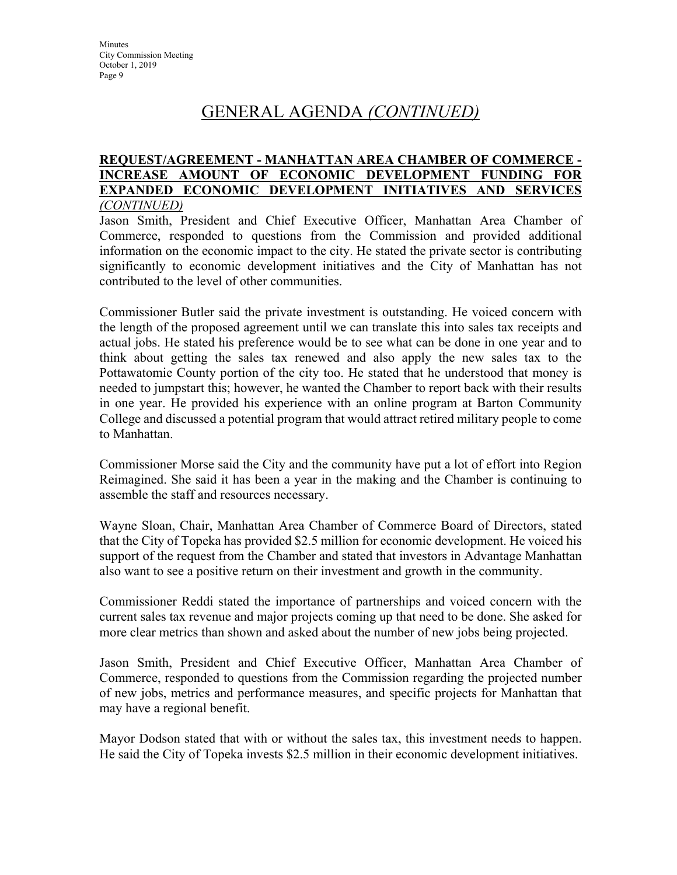#### **REQUEST/AGREEMENT - MANHATTAN AREA CHAMBER OF COMMERCE - INCREASE AMOUNT OF ECONOMIC DEVELOPMENT FUNDING FOR EXPANDED ECONOMIC DEVELOPMENT INITIATIVES AND SERVICES**  *(CONTINUED)*

Jason Smith, President and Chief Executive Officer, Manhattan Area Chamber of Commerce, responded to questions from the Commission and provided additional information on the economic impact to the city. He stated the private sector is contributing significantly to economic development initiatives and the City of Manhattan has not contributed to the level of other communities.

Commissioner Butler said the private investment is outstanding. He voiced concern with the length of the proposed agreement until we can translate this into sales tax receipts and actual jobs. He stated his preference would be to see what can be done in one year and to think about getting the sales tax renewed and also apply the new sales tax to the Pottawatomie County portion of the city too. He stated that he understood that money is needed to jumpstart this; however, he wanted the Chamber to report back with their results in one year. He provided his experience with an online program at Barton Community College and discussed a potential program that would attract retired military people to come to Manhattan.

Commissioner Morse said the City and the community have put a lot of effort into Region Reimagined. She said it has been a year in the making and the Chamber is continuing to assemble the staff and resources necessary.

Wayne Sloan, Chair, Manhattan Area Chamber of Commerce Board of Directors, stated that the City of Topeka has provided \$2.5 million for economic development. He voiced his support of the request from the Chamber and stated that investors in Advantage Manhattan also want to see a positive return on their investment and growth in the community.

Commissioner Reddi stated the importance of partnerships and voiced concern with the current sales tax revenue and major projects coming up that need to be done. She asked for more clear metrics than shown and asked about the number of new jobs being projected.

Jason Smith, President and Chief Executive Officer, Manhattan Area Chamber of Commerce, responded to questions from the Commission regarding the projected number of new jobs, metrics and performance measures, and specific projects for Manhattan that may have a regional benefit.

Mayor Dodson stated that with or without the sales tax, this investment needs to happen. He said the City of Topeka invests \$2.5 million in their economic development initiatives.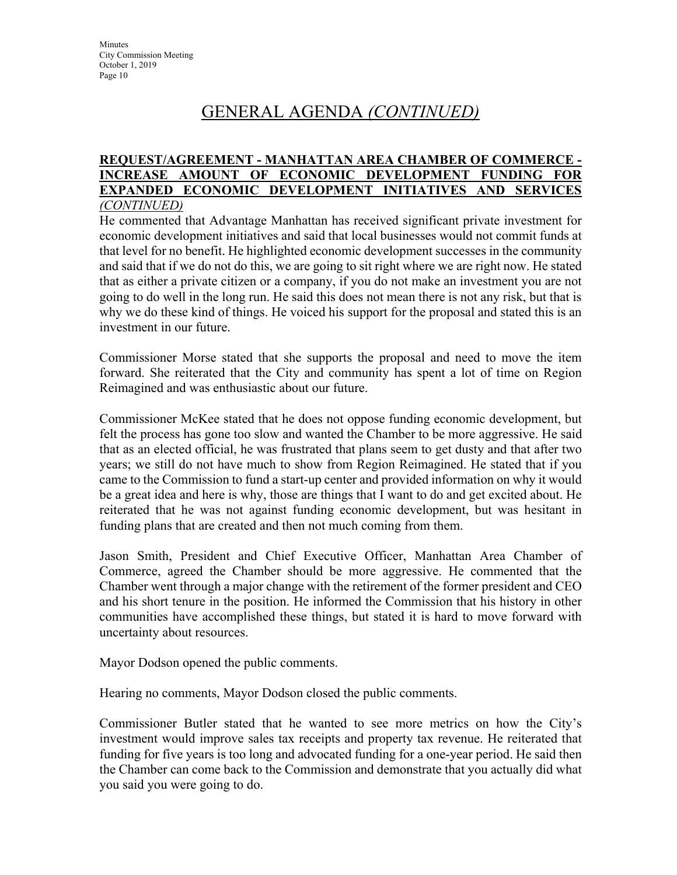#### **REQUEST/AGREEMENT - MANHATTAN AREA CHAMBER OF COMMERCE - INCREASE AMOUNT OF ECONOMIC DEVELOPMENT FUNDING FOR EXPANDED ECONOMIC DEVELOPMENT INITIATIVES AND SERVICES**  *(CONTINUED)*

He commented that Advantage Manhattan has received significant private investment for economic development initiatives and said that local businesses would not commit funds at that level for no benefit. He highlighted economic development successes in the community and said that if we do not do this, we are going to sit right where we are right now. He stated that as either a private citizen or a company, if you do not make an investment you are not going to do well in the long run. He said this does not mean there is not any risk, but that is why we do these kind of things. He voiced his support for the proposal and stated this is an investment in our future.

Commissioner Morse stated that she supports the proposal and need to move the item forward. She reiterated that the City and community has spent a lot of time on Region Reimagined and was enthusiastic about our future.

Commissioner McKee stated that he does not oppose funding economic development, but felt the process has gone too slow and wanted the Chamber to be more aggressive. He said that as an elected official, he was frustrated that plans seem to get dusty and that after two years; we still do not have much to show from Region Reimagined. He stated that if you came to the Commission to fund a start-up center and provided information on why it would be a great idea and here is why, those are things that I want to do and get excited about. He reiterated that he was not against funding economic development, but was hesitant in funding plans that are created and then not much coming from them.

Jason Smith, President and Chief Executive Officer, Manhattan Area Chamber of Commerce, agreed the Chamber should be more aggressive. He commented that the Chamber went through a major change with the retirement of the former president and CEO and his short tenure in the position. He informed the Commission that his history in other communities have accomplished these things, but stated it is hard to move forward with uncertainty about resources.

Mayor Dodson opened the public comments.

Hearing no comments, Mayor Dodson closed the public comments.

Commissioner Butler stated that he wanted to see more metrics on how the City's investment would improve sales tax receipts and property tax revenue. He reiterated that funding for five years is too long and advocated funding for a one-year period. He said then the Chamber can come back to the Commission and demonstrate that you actually did what you said you were going to do.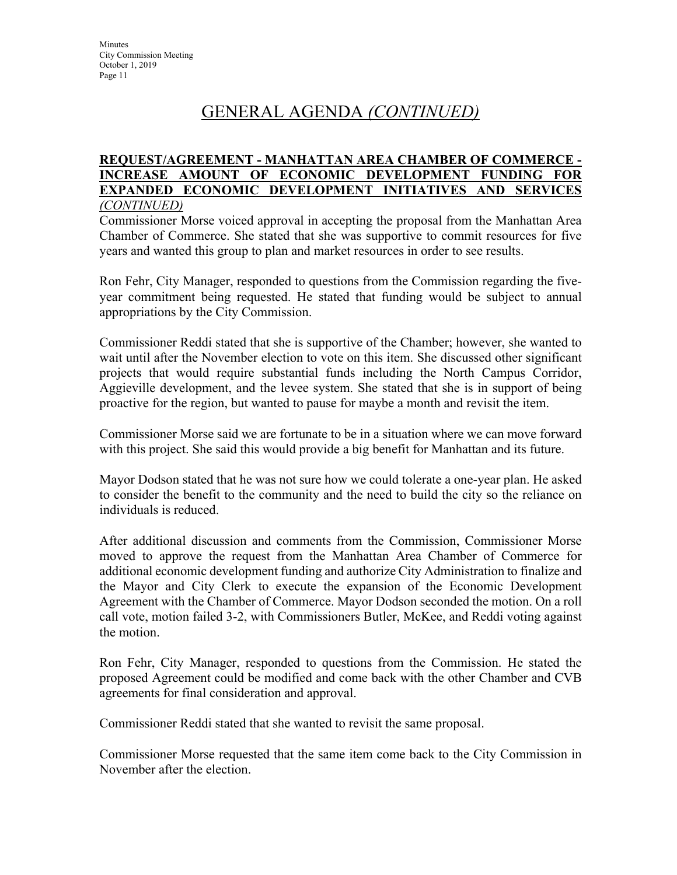#### **REQUEST/AGREEMENT - MANHATTAN AREA CHAMBER OF COMMERCE - INCREASE AMOUNT OF ECONOMIC DEVELOPMENT FUNDING FOR EXPANDED ECONOMIC DEVELOPMENT INITIATIVES AND SERVICES**  *(CONTINUED)*

Commissioner Morse voiced approval in accepting the proposal from the Manhattan Area Chamber of Commerce. She stated that she was supportive to commit resources for five years and wanted this group to plan and market resources in order to see results.

Ron Fehr, City Manager, responded to questions from the Commission regarding the fiveyear commitment being requested. He stated that funding would be subject to annual appropriations by the City Commission.

Commissioner Reddi stated that she is supportive of the Chamber; however, she wanted to wait until after the November election to vote on this item. She discussed other significant projects that would require substantial funds including the North Campus Corridor, Aggieville development, and the levee system. She stated that she is in support of being proactive for the region, but wanted to pause for maybe a month and revisit the item.

Commissioner Morse said we are fortunate to be in a situation where we can move forward with this project. She said this would provide a big benefit for Manhattan and its future.

Mayor Dodson stated that he was not sure how we could tolerate a one-year plan. He asked to consider the benefit to the community and the need to build the city so the reliance on individuals is reduced.

After additional discussion and comments from the Commission, Commissioner Morse moved to approve the request from the Manhattan Area Chamber of Commerce for additional economic development funding and authorize City Administration to finalize and the Mayor and City Clerk to execute the expansion of the Economic Development Agreement with the Chamber of Commerce. Mayor Dodson seconded the motion. On a roll call vote, motion failed 3-2, with Commissioners Butler, McKee, and Reddi voting against the motion.

Ron Fehr, City Manager, responded to questions from the Commission. He stated the proposed Agreement could be modified and come back with the other Chamber and CVB agreements for final consideration and approval.

Commissioner Reddi stated that she wanted to revisit the same proposal.

Commissioner Morse requested that the same item come back to the City Commission in November after the election.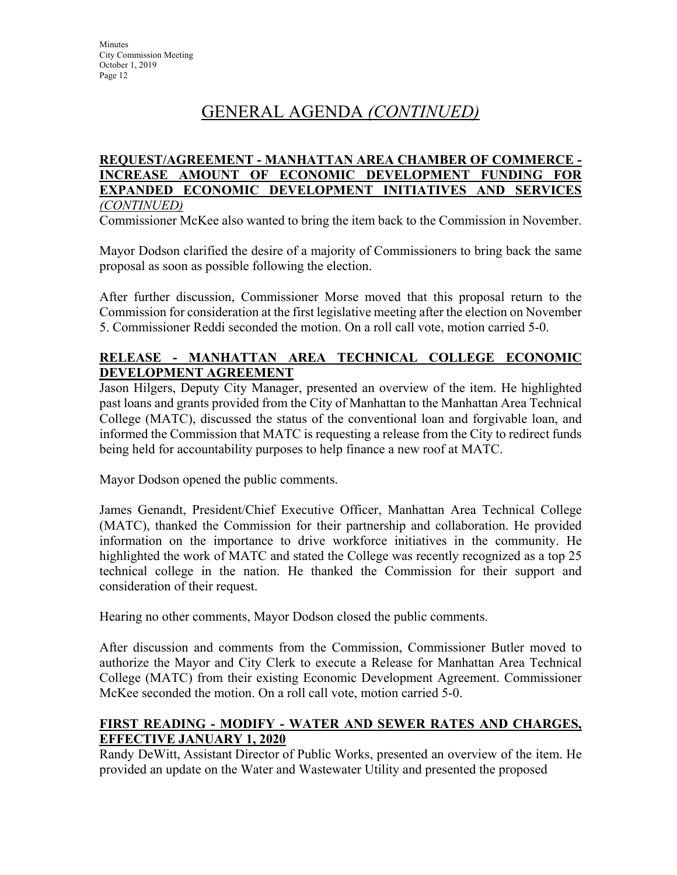#### **REQUEST/AGREEMENT - MANHATTAN AREA CHAMBER OF COMMERCE - INCREASE AMOUNT OF ECONOMIC DEVELOPMENT FUNDING FOR EXPANDED ECONOMIC DEVELOPMENT INITIATIVES AND SERVICES**  *(CONTINUED)*

Commissioner McKee also wanted to bring the item back to the Commission in November.

Mayor Dodson clarified the desire of a majority of Commissioners to bring back the same proposal as soon as possible following the election.

After further discussion, Commissioner Morse moved that this proposal return to the Commission for consideration at the first legislative meeting after the election on November 5. Commissioner Reddi seconded the motion. On a roll call vote, motion carried 5-0.

#### **RELEASE - MANHATTAN AREA TECHNICAL COLLEGE ECONOMIC DEVELOPMENT AGREEMENT**

Jason Hilgers, Deputy City Manager, presented an overview of the item. He highlighted past loans and grants provided from the City of Manhattan to the Manhattan Area Technical College (MATC), discussed the status of the conventional loan and forgivable loan, and informed the Commission that MATC is requesting a release from the City to redirect funds being held for accountability purposes to help finance a new roof at MATC.

Mayor Dodson opened the public comments.

James Genandt, President/Chief Executive Officer, Manhattan Area Technical College (MATC), thanked the Commission for their partnership and collaboration. He provided information on the importance to drive workforce initiatives in the community. He highlighted the work of MATC and stated the College was recently recognized as a top 25 technical college in the nation. He thanked the Commission for their support and consideration of their request.

Hearing no other comments, Mayor Dodson closed the public comments.

After discussion and comments from the Commission, Commissioner Butler moved to authorize the Mayor and City Clerk to execute a Release for Manhattan Area Technical College (MATC) from their existing Economic Development Agreement. Commissioner McKee seconded the motion. On a roll call vote, motion carried 5-0.

### **FIRST READING - MODIFY - WATER AND SEWER RATES AND CHARGES, EFFECTIVE JANUARY 1, 2020**

Randy DeWitt, Assistant Director of Public Works, presented an overview of the item. He provided an update on the Water and Wastewater Utility and presented the proposed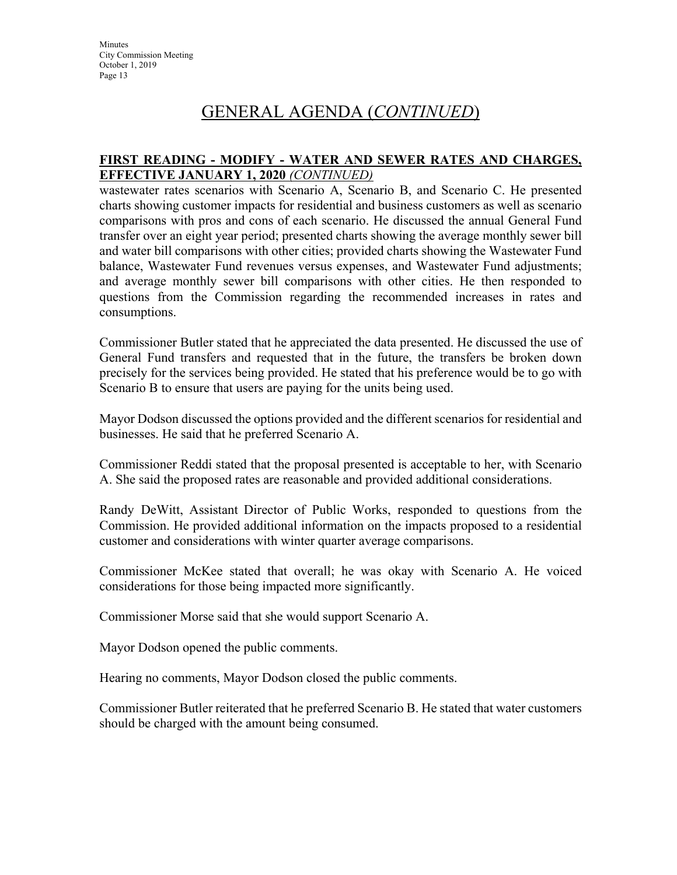## GENERAL AGENDA (*CONTINUED*)

#### **FIRST READING - MODIFY - WATER AND SEWER RATES AND CHARGES, EFFECTIVE JANUARY 1, 2020** *(CONTINUED)*

wastewater rates scenarios with Scenario A, Scenario B, and Scenario C. He presented charts showing customer impacts for residential and business customers as well as scenario comparisons with pros and cons of each scenario. He discussed the annual General Fund transfer over an eight year period; presented charts showing the average monthly sewer bill and water bill comparisons with other cities; provided charts showing the Wastewater Fund balance, Wastewater Fund revenues versus expenses, and Wastewater Fund adjustments; and average monthly sewer bill comparisons with other cities. He then responded to questions from the Commission regarding the recommended increases in rates and consumptions.

Commissioner Butler stated that he appreciated the data presented. He discussed the use of General Fund transfers and requested that in the future, the transfers be broken down precisely for the services being provided. He stated that his preference would be to go with Scenario B to ensure that users are paying for the units being used.

Mayor Dodson discussed the options provided and the different scenarios for residential and businesses. He said that he preferred Scenario A.

Commissioner Reddi stated that the proposal presented is acceptable to her, with Scenario A. She said the proposed rates are reasonable and provided additional considerations.

Randy DeWitt, Assistant Director of Public Works, responded to questions from the Commission. He provided additional information on the impacts proposed to a residential customer and considerations with winter quarter average comparisons.

Commissioner McKee stated that overall; he was okay with Scenario A. He voiced considerations for those being impacted more significantly.

Commissioner Morse said that she would support Scenario A.

Mayor Dodson opened the public comments.

Hearing no comments, Mayor Dodson closed the public comments.

Commissioner Butler reiterated that he preferred Scenario B. He stated that water customers should be charged with the amount being consumed.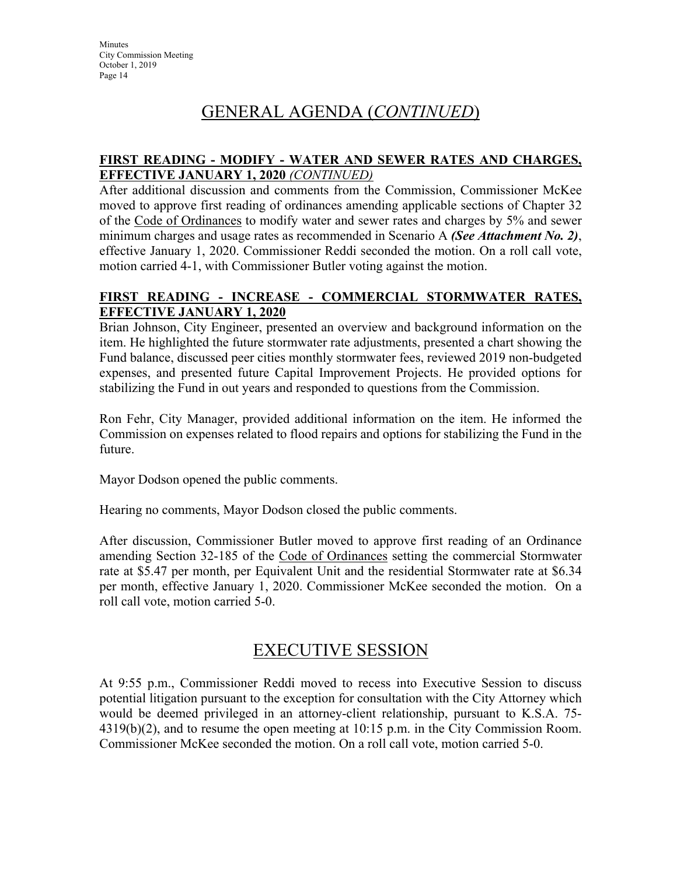#### **FIRST READING - MODIFY - WATER AND SEWER RATES AND CHARGES, EFFECTIVE JANUARY 1, 2020** *(CONTINUED)*

After additional discussion and comments from the Commission, Commissioner McKee moved to approve first reading of ordinances amending applicable sections of Chapter 32 of the Code of Ordinances to modify water and sewer rates and charges by 5% and sewer minimum charges and usage rates as recommended in Scenario A *(See Attachment No. 2)*, effective January 1, 2020. Commissioner Reddi seconded the motion. On a roll call vote, motion carried 4-1, with Commissioner Butler voting against the motion.

### **FIRST READING - INCREASE - COMMERCIAL STORMWATER RATES, EFFECTIVE JANUARY 1, 2020**

Brian Johnson, City Engineer, presented an overview and background information on the item. He highlighted the future stormwater rate adjustments, presented a chart showing the Fund balance, discussed peer cities monthly stormwater fees, reviewed 2019 non-budgeted expenses, and presented future Capital Improvement Projects. He provided options for stabilizing the Fund in out years and responded to questions from the Commission.

Ron Fehr, City Manager, provided additional information on the item. He informed the Commission on expenses related to flood repairs and options for stabilizing the Fund in the future.

Mayor Dodson opened the public comments.

Hearing no comments, Mayor Dodson closed the public comments.

After discussion, Commissioner Butler moved to approve first reading of an Ordinance amending Section 32-185 of the Code of Ordinances setting the commercial Stormwater rate at \$5.47 per month, per Equivalent Unit and the residential Stormwater rate at \$6.34 per month, effective January 1, 2020. Commissioner McKee seconded the motion. On a roll call vote, motion carried 5-0.

# EXECUTIVE SESSION

At 9:55 p.m., Commissioner Reddi moved to recess into Executive Session to discuss potential litigation pursuant to the exception for consultation with the City Attorney which would be deemed privileged in an attorney-client relationship, pursuant to K.S.A. 75- 4319(b)(2), and to resume the open meeting at 10:15 p.m. in the City Commission Room. Commissioner McKee seconded the motion. On a roll call vote, motion carried 5-0.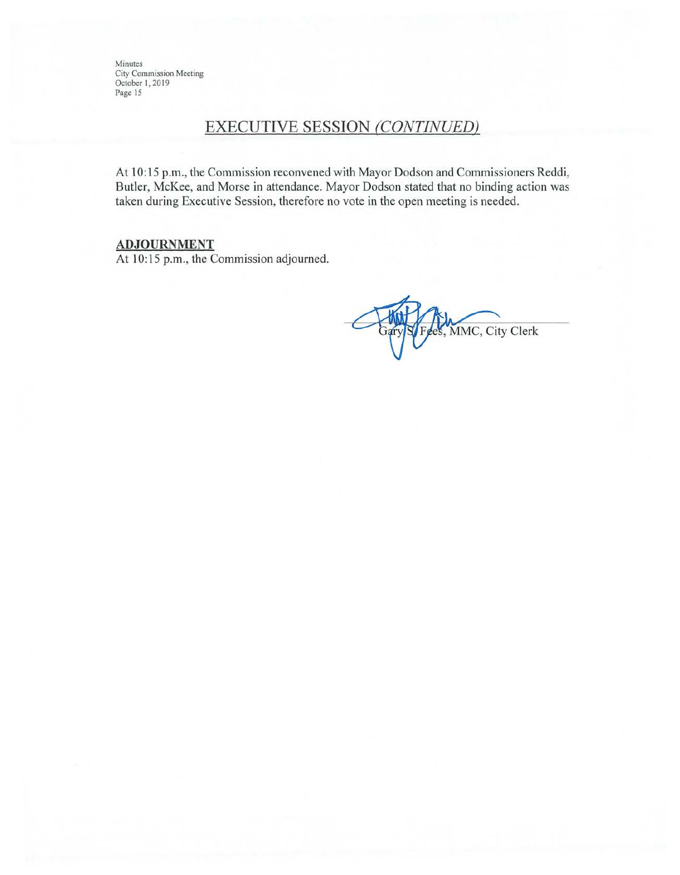### **EXECUTIVE SESSION (CONTINUED)**

At 10:15 p.m., the Commission reconvened with Mayor Dodson and Commissioners Reddi, Butler, McKee, and Morse in attendance. Mayor Dodson stated that no binding action was taken during Executive Session, therefore no vote in the open meeting is needed.

### **ADJOURNMENT**

At 10:15 p.m., the Commission adjourned.

ees, MMC, City Clerk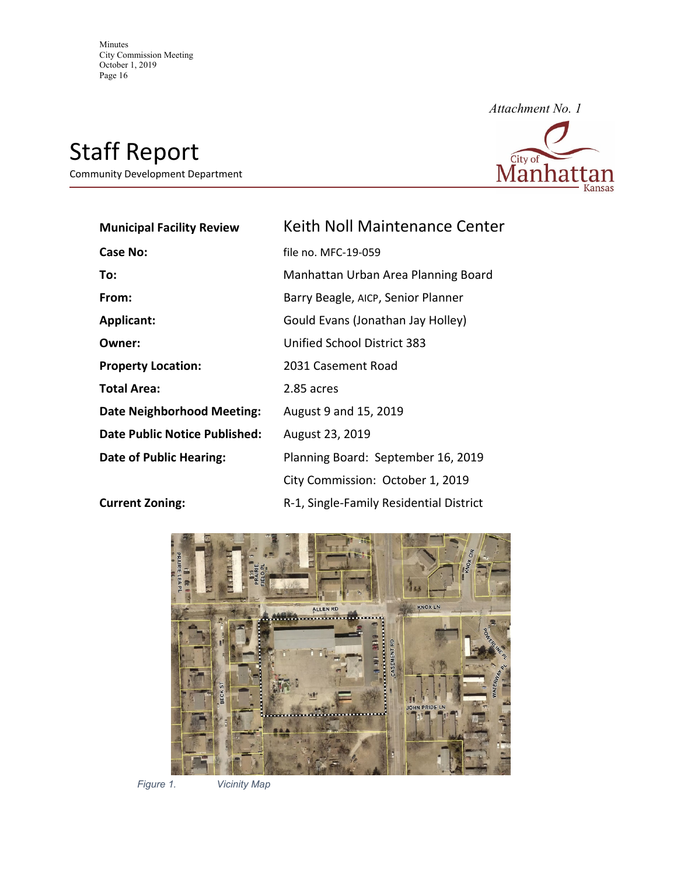# Staff Report

Community Development Department



*Attachment No. 1*

| <b>Municipal Facility Review</b>     | Keith Noll Maintenance Center           |  |  |  |
|--------------------------------------|-----------------------------------------|--|--|--|
| Case No:                             | file no. MFC-19-059                     |  |  |  |
| To:                                  | Manhattan Urban Area Planning Board     |  |  |  |
| From:                                | Barry Beagle, AICP, Senior Planner      |  |  |  |
| <b>Applicant:</b>                    | Gould Evans (Jonathan Jay Holley)       |  |  |  |
| Owner:                               | Unified School District 383             |  |  |  |
| <b>Property Location:</b>            | 2031 Casement Road                      |  |  |  |
| <b>Total Area:</b>                   | 2.85 acres                              |  |  |  |
| <b>Date Neighborhood Meeting:</b>    | August 9 and 15, 2019                   |  |  |  |
| <b>Date Public Notice Published:</b> | August 23, 2019                         |  |  |  |
| Date of Public Hearing:              | Planning Board: September 16, 2019      |  |  |  |
|                                      | City Commission: October 1, 2019        |  |  |  |
| <b>Current Zoning:</b>               | R-1, Single-Family Residential District |  |  |  |



*Figure 1. Vicinity Map*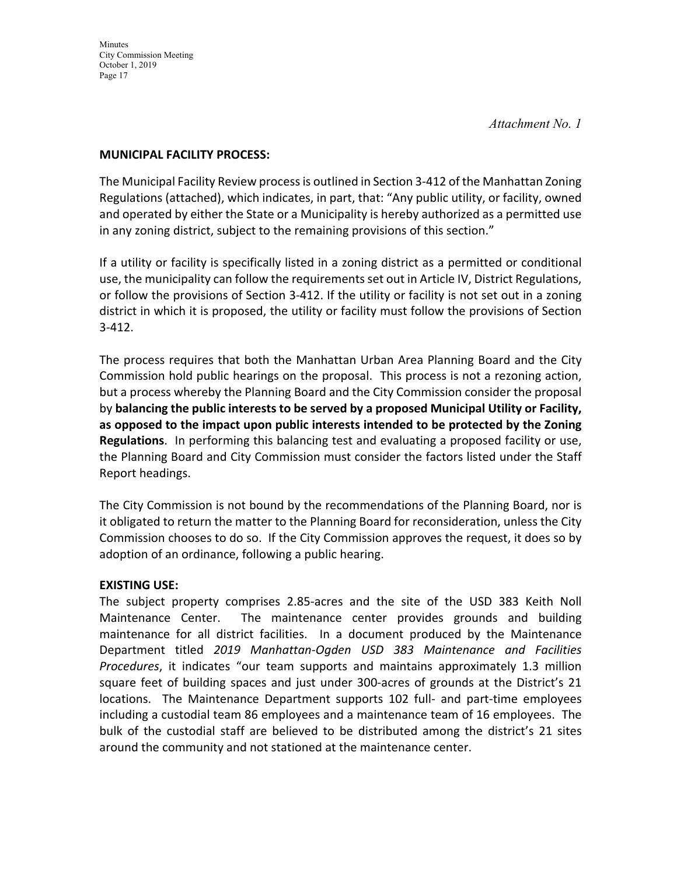*Attachment No. 1* 

#### **MUNICIPAL FACILITY PROCESS:**

The Municipal Facility Review process is outlined in Section 3-412 of the Manhattan Zoning Regulations (attached), which indicates, in part, that: "Any public utility, or facility, owned and operated by either the State or a Municipality is hereby authorized as a permitted use in any zoning district, subject to the remaining provisions of this section."

If a utility or facility is specifically listed in a zoning district as a permitted or conditional use, the municipality can follow the requirementsset out in Article IV, District Regulations, or follow the provisions of Section 3‐412. If the utility or facility is not set out in a zoning district in which it is proposed, the utility or facility must follow the provisions of Section 3‐412.

The process requires that both the Manhattan Urban Area Planning Board and the City Commission hold public hearings on the proposal. This process is not a rezoning action, but a process whereby the Planning Board and the City Commission consider the proposal by **balancing the public interests to be served by a proposed Municipal Utility or Facility, as opposed to the impact upon public interests intended to be protected by the Zoning Regulations**. In performing this balancing test and evaluating a proposed facility or use, the Planning Board and City Commission must consider the factors listed under the Staff Report headings.

The City Commission is not bound by the recommendations of the Planning Board, nor is it obligated to return the matter to the Planning Board for reconsideration, unless the City Commission chooses to do so. If the City Commission approves the request, it does so by adoption of an ordinance, following a public hearing.

#### **EXISTING USE:**

The subject property comprises 2.85‐acres and the site of the USD 383 Keith Noll Maintenance Center. The maintenance center provides grounds and building maintenance for all district facilities. In a document produced by the Maintenance Department titled *2019 Manhattan‐Ogden USD 383 Maintenance and Facilities Procedures*, it indicates "our team supports and maintains approximately 1.3 million square feet of building spaces and just under 300‐acres of grounds at the District's 21 locations. The Maintenance Department supports 102 full- and part-time employees including a custodial team 86 employees and a maintenance team of 16 employees. The bulk of the custodial staff are believed to be distributed among the district's 21 sites around the community and not stationed at the maintenance center.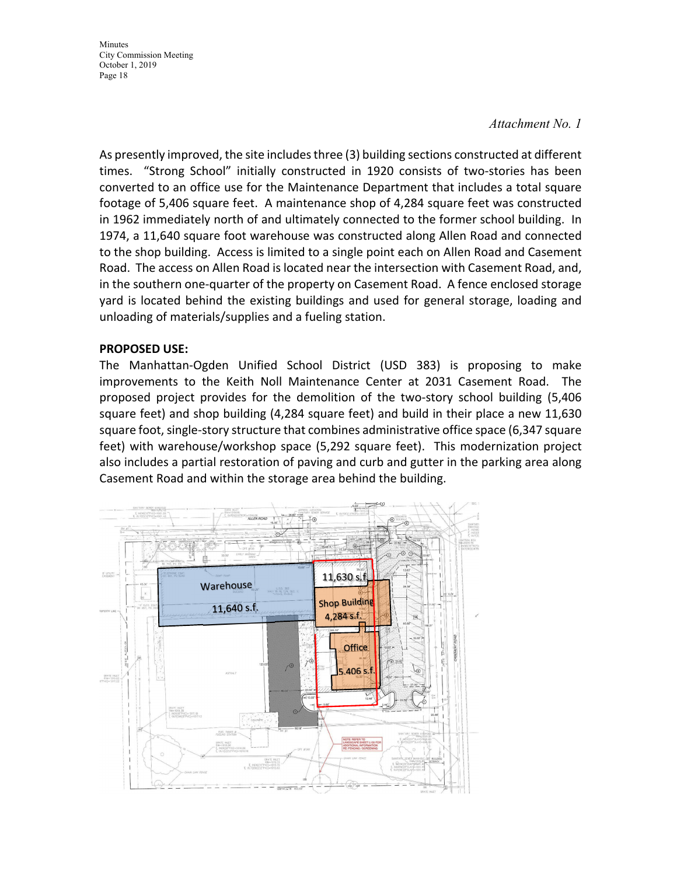#### *Attachment No. 1*

As presently improved, the site includesthree (3) building sections constructed at different times. "Strong School" initially constructed in 1920 consists of two‐stories has been converted to an office use for the Maintenance Department that includes a total square footage of 5,406 square feet. A maintenance shop of 4,284 square feet was constructed in 1962 immediately north of and ultimately connected to the former school building. In 1974, a 11,640 square foot warehouse was constructed along Allen Road and connected to the shop building. Access is limited to a single point each on Allen Road and Casement Road. The access on Allen Road is located near the intersection with Casement Road, and, in the southern one‐quarter of the property on Casement Road. A fence enclosed storage yard is located behind the existing buildings and used for general storage, loading and unloading of materials/supplies and a fueling station.

#### **PROPOSED USE:**

The Manhattan‐Ogden Unified School District (USD 383) is proposing to make improvements to the Keith Noll Maintenance Center at 2031 Casement Road. The proposed project provides for the demolition of the two‐story school building (5,406 square feet) and shop building (4,284 square feet) and build in their place a new 11,630 square foot, single-story structure that combines administrative office space (6,347 square feet) with warehouse/workshop space (5,292 square feet). This modernization project also includes a partial restoration of paving and curb and gutter in the parking area along Casement Road and within the storage area behind the building.

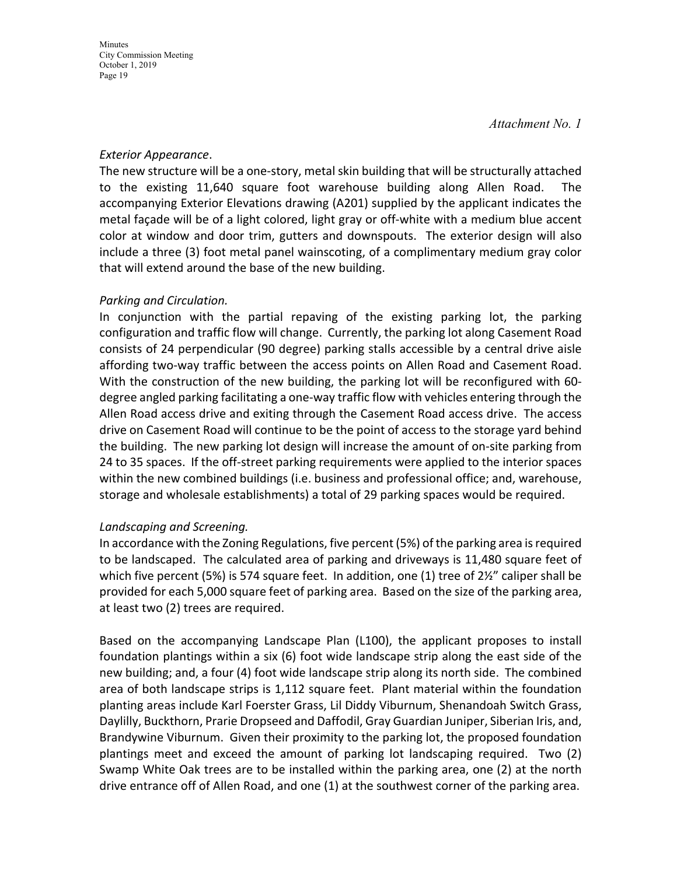*Attachment No. 1* 

#### *Exterior Appearance*.

The new structure will be a one‐story, metal skin building that will be structurally attached to the existing 11,640 square foot warehouse building along Allen Road. The accompanying Exterior Elevations drawing (A201) supplied by the applicant indicates the metal façade will be of a light colored, light gray or off‐white with a medium blue accent color at window and door trim, gutters and downspouts. The exterior design will also include a three (3) foot metal panel wainscoting, of a complimentary medium gray color that will extend around the base of the new building.

#### *Parking and Circulation.*

In conjunction with the partial repaving of the existing parking lot, the parking configuration and traffic flow will change. Currently, the parking lot along Casement Road consists of 24 perpendicular (90 degree) parking stalls accessible by a central drive aisle affording two‐way traffic between the access points on Allen Road and Casement Road. With the construction of the new building, the parking lot will be reconfigured with 60‐ degree angled parking facilitating a one‐way traffic flow with vehicles entering through the Allen Road access drive and exiting through the Casement Road access drive. The access drive on Casement Road will continue to be the point of access to the storage yard behind the building. The new parking lot design will increase the amount of on‐site parking from 24 to 35 spaces. If the off‐street parking requirements were applied to the interior spaces within the new combined buildings (i.e. business and professional office; and, warehouse, storage and wholesale establishments) a total of 29 parking spaces would be required.

#### *Landscaping and Screening.*

In accordance with the Zoning Regulations, five percent (5%) of the parking area isrequired to be landscaped. The calculated area of parking and driveways is 11,480 square feet of which five percent (5%) is 574 square feet. In addition, one (1) tree of  $2\frac{1}{2}$  caliper shall be provided for each 5,000 square feet of parking area. Based on the size of the parking area, at least two (2) trees are required.

Based on the accompanying Landscape Plan (L100), the applicant proposes to install foundation plantings within a six (6) foot wide landscape strip along the east side of the new building; and, a four (4) foot wide landscape strip along its north side. The combined area of both landscape strips is 1,112 square feet. Plant material within the foundation planting areas include Karl Foerster Grass, Lil Diddy Viburnum, Shenandoah Switch Grass, Daylilly, Buckthorn, Prarie Dropseed and Daffodil, Gray Guardian Juniper, Siberian Iris, and, Brandywine Viburnum. Given their proximity to the parking lot, the proposed foundation plantings meet and exceed the amount of parking lot landscaping required. Two (2) Swamp White Oak trees are to be installed within the parking area, one (2) at the north drive entrance off of Allen Road, and one (1) at the southwest corner of the parking area.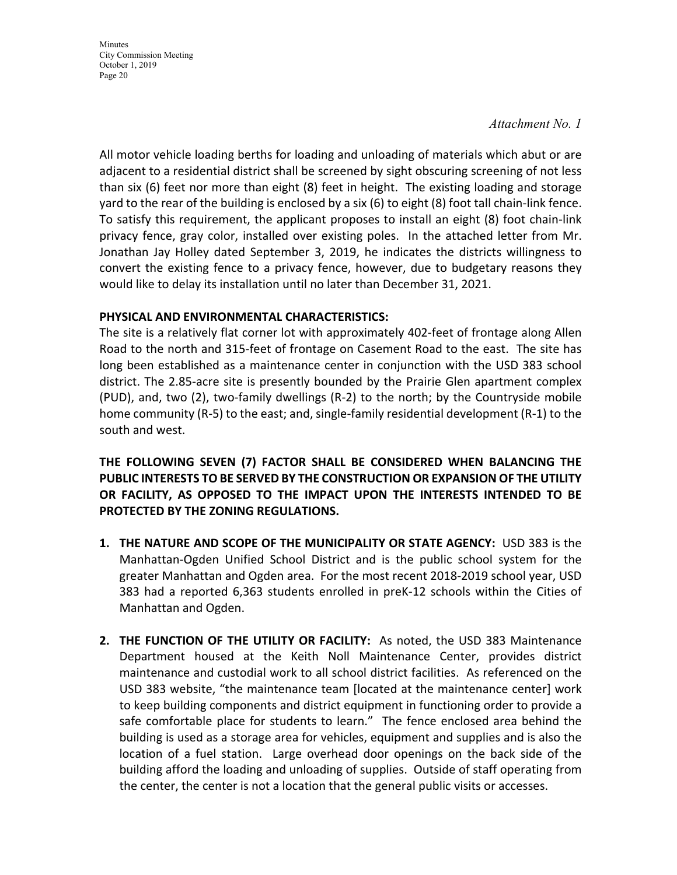#### *Attachment No. 1*

All motor vehicle loading berths for loading and unloading of materials which abut or are adjacent to a residential district shall be screened by sight obscuring screening of not less than six (6) feet nor more than eight (8) feet in height. The existing loading and storage yard to the rear of the building is enclosed by a six (6) to eight (8) foot tall chain‐link fence. To satisfy this requirement, the applicant proposes to install an eight (8) foot chain‐link privacy fence, gray color, installed over existing poles. In the attached letter from Mr. Jonathan Jay Holley dated September 3, 2019, he indicates the districts willingness to convert the existing fence to a privacy fence, however, due to budgetary reasons they would like to delay its installation until no later than December 31, 2021.

#### **PHYSICAL AND ENVIRONMENTAL CHARACTERISTICS:**

The site is a relatively flat corner lot with approximately 402‐feet of frontage along Allen Road to the north and 315‐feet of frontage on Casement Road to the east. The site has long been established as a maintenance center in conjunction with the USD 383 school district. The 2.85‐acre site is presently bounded by the Prairie Glen apartment complex (PUD), and, two (2), two‐family dwellings (R‐2) to the north; by the Countryside mobile home community (R‐5) to the east; and, single‐family residential development (R‐1) to the south and west.

**THE FOLLOWING SEVEN (7) FACTOR SHALL BE CONSIDERED WHEN BALANCING THE PUBLIC INTERESTS TO BE SERVED BY THE CONSTRUCTION OR EXPANSION OF THE UTILITY OR FACILITY, AS OPPOSED TO THE IMPACT UPON THE INTERESTS INTENDED TO BE PROTECTED BY THE ZONING REGULATIONS.**

- **1. THE NATURE AND SCOPE OF THE MUNICIPALITY OR STATE AGENCY:** USD 383 is the Manhattan‐Ogden Unified School District and is the public school system for the greater Manhattan and Ogden area. For the most recent 2018‐2019 school year, USD 383 had a reported 6,363 students enrolled in preK‐12 schools within the Cities of Manhattan and Ogden.
- **2. THE FUNCTION OF THE UTILITY OR FACILITY:** As noted, the USD 383 Maintenance Department housed at the Keith Noll Maintenance Center, provides district maintenance and custodial work to all school district facilities. As referenced on the USD 383 website, "the maintenance team [located at the maintenance center] work to keep building components and district equipment in functioning order to provide a safe comfortable place for students to learn." The fence enclosed area behind the building is used as a storage area for vehicles, equipment and supplies and is also the location of a fuel station. Large overhead door openings on the back side of the building afford the loading and unloading of supplies. Outside of staff operating from the center, the center is not a location that the general public visits or accesses.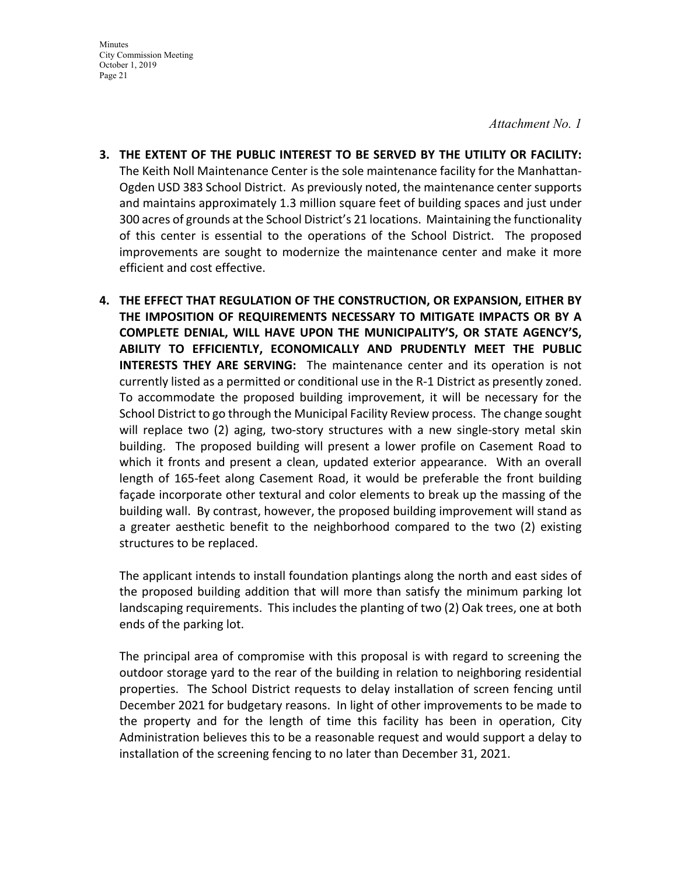*Attachment No. 1* 

- **3. THE EXTENT OF THE PUBLIC INTEREST TO BE SERVED BY THE UTILITY OR FACILITY:** The Keith Noll Maintenance Center is the sole maintenance facility for the Manhattan‐ Ogden USD 383 School District. As previously noted, the maintenance center supports and maintains approximately 1.3 million square feet of building spaces and just under 300 acres of grounds at the School District's 21 locations. Maintaining the functionality of this center is essential to the operations of the School District. The proposed improvements are sought to modernize the maintenance center and make it more efficient and cost effective.
- **4. THE EFFECT THAT REGULATION OF THE CONSTRUCTION, OR EXPANSION, EITHER BY THE IMPOSITION OF REQUIREMENTS NECESSARY TO MITIGATE IMPACTS OR BY A COMPLETE DENIAL, WILL HAVE UPON THE MUNICIPALITY'S, OR STATE AGENCY'S, ABILITY TO EFFICIENTLY, ECONOMICALLY AND PRUDENTLY MEET THE PUBLIC INTERESTS THEY ARE SERVING:** The maintenance center and its operation is not currently listed as a permitted or conditional use in the R‐1 District as presently zoned. To accommodate the proposed building improvement, it will be necessary for the School District to go through the Municipal Facility Review process. The change sought will replace two (2) aging, two-story structures with a new single-story metal skin building. The proposed building will present a lower profile on Casement Road to which it fronts and present a clean, updated exterior appearance. With an overall length of 165‐feet along Casement Road, it would be preferable the front building façade incorporate other textural and color elements to break up the massing of the building wall. By contrast, however, the proposed building improvement will stand as a greater aesthetic benefit to the neighborhood compared to the two (2) existing structures to be replaced.

The applicant intends to install foundation plantings along the north and east sides of the proposed building addition that will more than satisfy the minimum parking lot landscaping requirements. This includes the planting of two (2) Oak trees, one at both ends of the parking lot.

The principal area of compromise with this proposal is with regard to screening the outdoor storage yard to the rear of the building in relation to neighboring residential properties. The School District requests to delay installation of screen fencing until December 2021 for budgetary reasons. In light of other improvements to be made to the property and for the length of time this facility has been in operation, City Administration believes this to be a reasonable request and would support a delay to installation of the screening fencing to no later than December 31, 2021.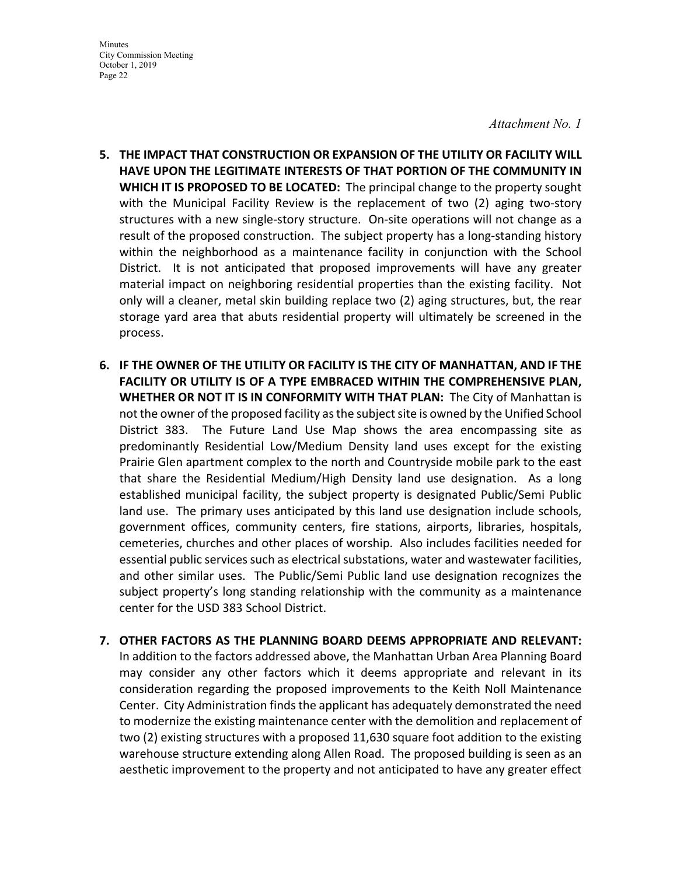*Attachment No. 1* 

- **5. THE IMPACT THAT CONSTRUCTION OR EXPANSION OF THE UTILITY OR FACILITY WILL HAVE UPON THE LEGITIMATE INTERESTS OF THAT PORTION OF THE COMMUNITY IN WHICH IT IS PROPOSED TO BE LOCATED:** The principal change to the property sought with the Municipal Facility Review is the replacement of two (2) aging two-story structures with a new single‐story structure. On‐site operations will not change as a result of the proposed construction. The subject property has a long‐standing history within the neighborhood as a maintenance facility in conjunction with the School District. It is not anticipated that proposed improvements will have any greater material impact on neighboring residential properties than the existing facility. Not only will a cleaner, metal skin building replace two (2) aging structures, but, the rear storage yard area that abuts residential property will ultimately be screened in the process.
- **6. IF THE OWNER OF THE UTILITY OR FACILITY IS THE CITY OF MANHATTAN, AND IF THE FACILITY OR UTILITY IS OF A TYPE EMBRACED WITHIN THE COMPREHENSIVE PLAN, WHETHER OR NOT IT IS IN CONFORMITY WITH THAT PLAN:** The City of Manhattan is not the owner of the proposed facility asthe subjectsite is owned by the Unified School District 383. The Future Land Use Map shows the area encompassing site as predominantly Residential Low/Medium Density land uses except for the existing Prairie Glen apartment complex to the north and Countryside mobile park to the east that share the Residential Medium/High Density land use designation. As a long established municipal facility, the subject property is designated Public/Semi Public land use. The primary uses anticipated by this land use designation include schools, government offices, community centers, fire stations, airports, libraries, hospitals, cemeteries, churches and other places of worship. Also includes facilities needed for essential public services such as electrical substations, water and wastewater facilities, and other similar uses. The Public/Semi Public land use designation recognizes the subject property's long standing relationship with the community as a maintenance center for the USD 383 School District.
- **7. OTHER FACTORS AS THE PLANNING BOARD DEEMS APPROPRIATE AND RELEVANT:** In addition to the factors addressed above, the Manhattan Urban Area Planning Board may consider any other factors which it deems appropriate and relevant in its consideration regarding the proposed improvements to the Keith Noll Maintenance Center. City Administration finds the applicant has adequately demonstrated the need to modernize the existing maintenance center with the demolition and replacement of two (2) existing structures with a proposed 11,630 square foot addition to the existing warehouse structure extending along Allen Road. The proposed building is seen as an aesthetic improvement to the property and not anticipated to have any greater effect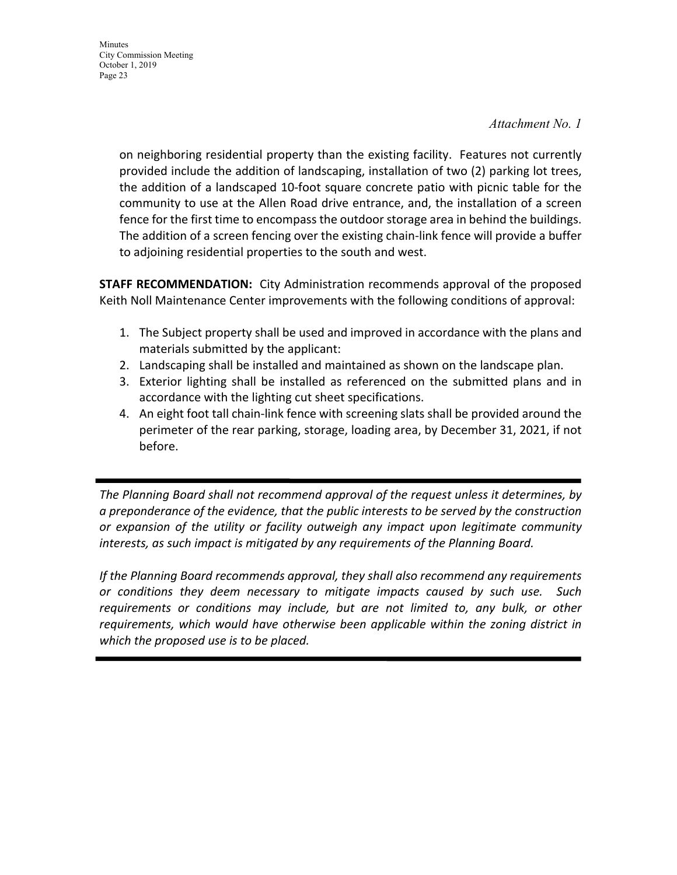#### *Attachment No. 1*

on neighboring residential property than the existing facility. Features not currently provided include the addition of landscaping, installation of two (2) parking lot trees, the addition of a landscaped 10‐foot square concrete patio with picnic table for the community to use at the Allen Road drive entrance, and, the installation of a screen fence for the first time to encompass the outdoor storage area in behind the buildings. The addition of a screen fencing over the existing chain‐link fence will provide a buffer to adjoining residential properties to the south and west.

**STAFF RECOMMENDATION:** City Administration recommends approval of the proposed Keith Noll Maintenance Center improvements with the following conditions of approval:

- 1. The Subject property shall be used and improved in accordance with the plans and materials submitted by the applicant:
- 2. Landscaping shall be installed and maintained as shown on the landscape plan.
- 3. Exterior lighting shall be installed as referenced on the submitted plans and in accordance with the lighting cut sheet specifications.
- 4. An eight foot tall chain‐link fence with screening slats shall be provided around the perimeter of the rear parking, storage, loading area, by December 31, 2021, if not before.

*The Planning Board shall not recommend approval of the request unless it determines, by a preponderance of the evidence, that the public interests to be served by the construction or expansion of the utility or facility outweigh any impact upon legitimate community interests, as such impact is mitigated by any requirements of the Planning Board.*

*If the Planning Board recommends approval, they shall also recommend any requirements or conditions they deem necessary to mitigate impacts caused by such use. Such requirements or conditions may include, but are not limited to, any bulk, or other requirements, which would have otherwise been applicable within the zoning district in which the proposed use is to be placed.*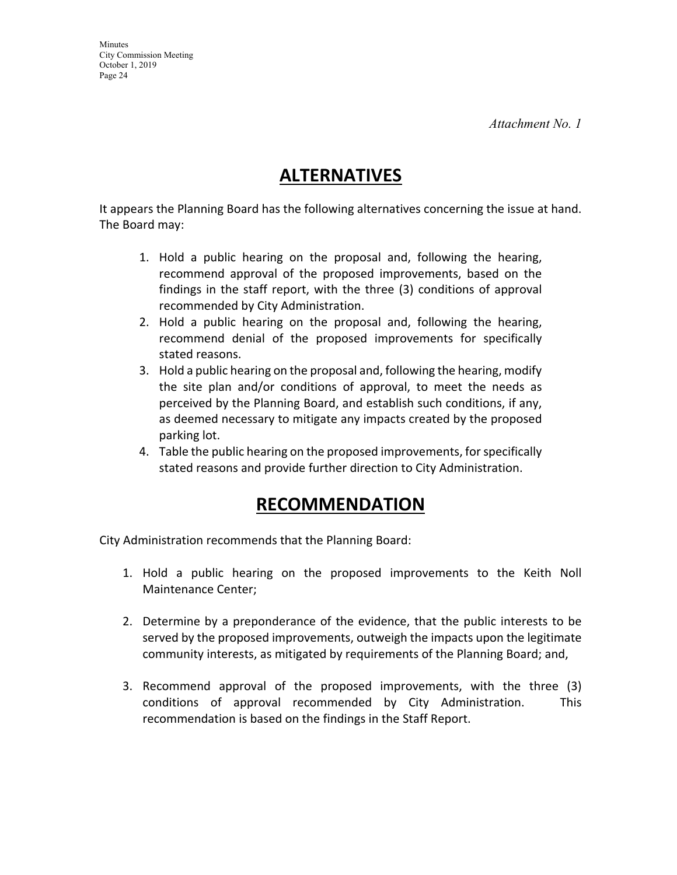*Attachment No. 1* 

# **ALTERNATIVES**

It appears the Planning Board has the following alternatives concerning the issue at hand. The Board may:

- 1. Hold a public hearing on the proposal and, following the hearing, recommend approval of the proposed improvements, based on the findings in the staff report, with the three (3) conditions of approval recommended by City Administration.
- 2. Hold a public hearing on the proposal and, following the hearing, recommend denial of the proposed improvements for specifically stated reasons.
- 3. Hold a public hearing on the proposal and, following the hearing, modify the site plan and/or conditions of approval, to meet the needs as perceived by the Planning Board, and establish such conditions, if any, as deemed necessary to mitigate any impacts created by the proposed parking lot.
- 4. Table the public hearing on the proposed improvements, forspecifically stated reasons and provide further direction to City Administration.

# **RECOMMENDATION**

City Administration recommends that the Planning Board:

- 1. Hold a public hearing on the proposed improvements to the Keith Noll Maintenance Center;
- 2. Determine by a preponderance of the evidence, that the public interests to be served by the proposed improvements, outweigh the impacts upon the legitimate community interests, as mitigated by requirements of the Planning Board; and,
- 3. Recommend approval of the proposed improvements, with the three (3) conditions of approval recommended by City Administration. This recommendation is based on the findings in the Staff Report.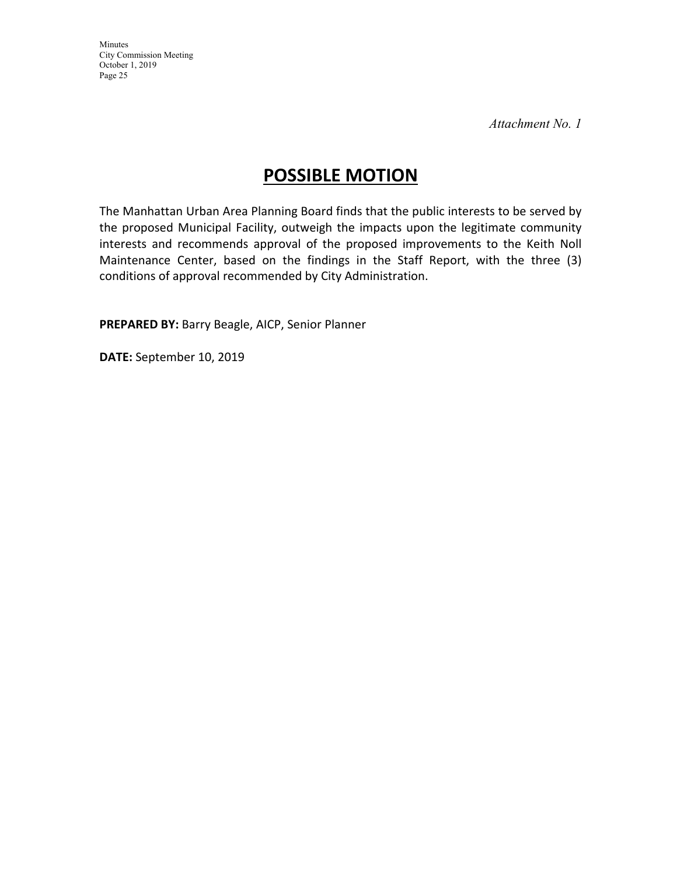*Attachment No. 1* 

Minutes City Commission Meeting October 1, 2019 Page 25

# **POSSIBLE MOTION**

The Manhattan Urban Area Planning Board finds that the public interests to be served by the proposed Municipal Facility, outweigh the impacts upon the legitimate community interests and recommends approval of the proposed improvements to the Keith Noll Maintenance Center, based on the findings in the Staff Report, with the three (3) conditions of approval recommended by City Administration.

**PREPARED BY:** Barry Beagle, AICP, Senior Planner

**DATE:** September 10, 2019